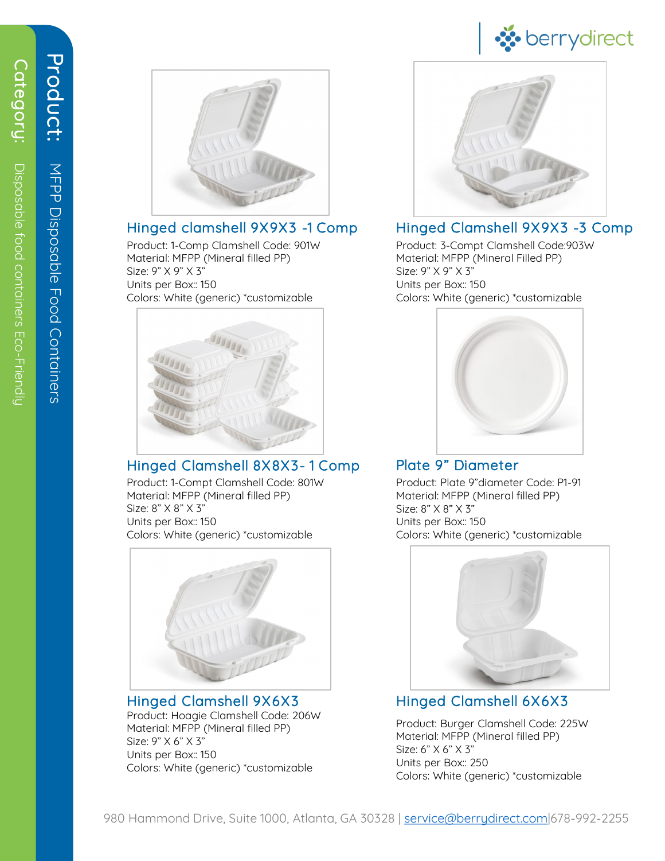

### Hinged clamshell 9X9X3 -1 Comp

Product: 1-Comp Clamshell Code: 901W Material: MFPP (Mineral filled PP) Size: 9" X 9" X 3" Units per Box:: 150 Colors: White (generic) \*customizable



# Hinged Clamshell 8X8X3- 1 Comp

Product: 1-Compt Clamshell Code: 801W Material: MFPP (Mineral filled PP) Size: 8" X 8" X 3" Units per Box:: 150 Colors: White (generic) \*customizable



Product: Hoagie Clamshell Code: 206W Material: MFPP (Mineral filled PP) Size: 9" X 6" X 3" Units per Box:: 150 Colors: White (generic) \*customizable Hinged Clamshell 9X6X3



# Hinged Clamshell 9X9X3 -3 Comp

Product: 3-Compt Clamshell Code:903W Material: MFPP (Mineral Filled PP) Size: 9" X 9" X 3" Units per Box:: 150 Colors: White (generic) \*customizable



# Plate 9" Diameter

Product: Plate 9"diameter Code: P1-91 Material: MFPP (Mineral filled PP) Size: 8" X 8" X 3" Units per Box:: 150 Colors: White (generic) \*customizable



# Hinged Clamshell 6X6X3

Product: Burger Clamshell Code: 225W Material: MFPP (Mineral filled PP) Size: 6" X 6" X 3" Units per Box:: 250 Colors: White (generic) \*customizable

Product:

Product:

MFPP Disposable Food Containers

MFPP Disposable Food Containers